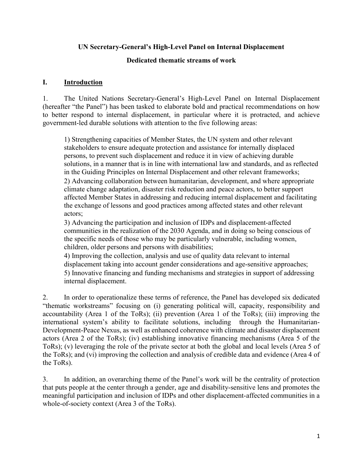### UN Secretary-General's High-Level Panel on Internal Displacement

### Dedicated thematic streams of work

#### I. Introduction

1. The United Nations Secretary-General's High-Level Panel on Internal Displacement (hereafter "the Panel") has been tasked to elaborate bold and practical recommendations on how to better respond to internal displacement, in particular where it is protracted, and achieve government-led durable solutions with attention to the five following areas:

1) Strengthening capacities of Member States, the UN system and other relevant stakeholders to ensure adequate protection and assistance for internally displaced persons, to prevent such displacement and reduce it in view of achieving durable solutions, in a manner that is in line with international law and standards, and as reflected in the Guiding Principles on Internal Displacement and other relevant frameworks; 2) Advancing collaboration between humanitarian, development, and where appropriate climate change adaptation, disaster risk reduction and peace actors, to better support affected Member States in addressing and reducing internal displacement and facilitating the exchange of lessons and good practices among affected states and other relevant actors;

3) Advancing the participation and inclusion of IDPs and displacement-affected communities in the realization of the 2030 Agenda, and in doing so being conscious of the specific needs of those who may be particularly vulnerable, including women, children, older persons and persons with disabilities;

4) Improving the collection, analysis and use of quality data relevant to internal displacement taking into account gender considerations and age-sensitive approaches; 5) Innovative financing and funding mechanisms and strategies in support of addressing internal displacement.

2. In order to operationalize these terms of reference, the Panel has developed six dedicated "thematic workstreams" focusing on (i) generating political will, capacity, responsibility and accountability (Area 1 of the ToRs); (ii) prevention (Area 1 of the ToRs); (iii) improving the international system's ability to facilitate solutions, including through the Humanitarian-Development-Peace Nexus, as well as enhanced coherence with climate and disaster displacement actors (Area 2 of the ToRs); (iv) establishing innovative financing mechanisms (Area 5 of the ToRs); (v) leveraging the role of the private sector at both the global and local levels (Area 5 of the ToRs); and (vi) improving the collection and analysis of credible data and evidence (Area 4 of the ToRs).

3. In addition, an overarching theme of the Panel's work will be the centrality of protection that puts people at the center through a gender, age and disability-sensitive lens and promotes the meaningful participation and inclusion of IDPs and other displacement-affected communities in a whole-of-society context (Area 3 of the ToRs).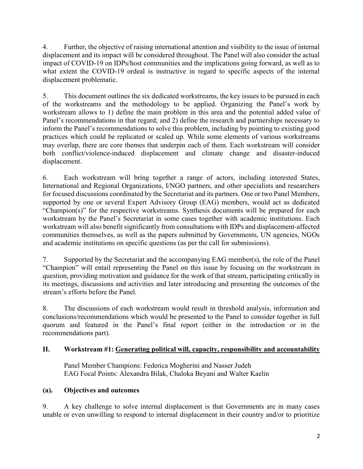4. Further, the objective of raising international attention and visibility to the issue of internal displacement and its impact will be considered throughout. The Panel will also consider the actual impact of COVID-19 on IDPs/host communities and the implications going forward, as well as to what extent the COVID-19 ordeal is instructive in regard to specific aspects of the internal displacement problematic.

5. This document outlines the six dedicated workstreams, the key issues to be pursued in each of the workstreams and the methodology to be applied. Organizing the Panel's work by workstream allows to 1) define the main problem in this area and the potential added value of Panel's recommendations in that regard; and 2) define the research and partnerships necessary to inform the Panel's recommendations to solve this problem, including by pointing to existing good practices which could be replicated or scaled up. While some elements of various workstreams may overlap, there are core themes that underpin each of them. Each workstream will consider both conflict/violence-induced displacement and climate change and disaster-induced displacement.

6. Each workstream will bring together a range of actors, including interested States, International and Regional Organizations, I/NGO partners, and other specialists and researchers for focused discussions coordinated by the Secretariat and its partners. One or two Panel Members, supported by one or several Expert Advisory Group (EAG) members, would act as dedicated "Champion(s)" for the respective workstreams. Synthesis documents will be prepared for each workstream by the Panel's Secretariat in some cases together with academic institutions. Each workstream will also benefit significantly from consultations with IDPs and displacement-affected communities themselves, as well as the papers submitted by Governments, UN agencies, NGOs and academic institutions on specific questions (as per the call for submissions).

7. Supported by the Secretariat and the accompanying EAG member(s), the role of the Panel "Champion" will entail representing the Panel on this issue by focusing on the workstream in question, providing motivation and guidance for the work of that stream, participating critically in its meetings, discussions and activities and later introducing and presenting the outcomes of the stream's efforts before the Panel.

8. The discussions of each workstream would result in threshold analysis, information and conclusions/recommendations which would be presented to the Panel to consider together in full quorum and featured in the Panel's final report (either in the introduction or in the recommendations part).

## II. Workstream #1: Generating political will, capacity, responsibility and accountability

Panel Member Champions: Federica Mogherini and Nasser Judeh EAG Focal Points: Alexandra Bilak, Chaloka Beyani and Walter Kaelin

## (a). Objectives and outcomes

9. A key challenge to solve internal displacement is that Governments are in many cases unable or even unwilling to respond to internal displacement in their country and/or to prioritize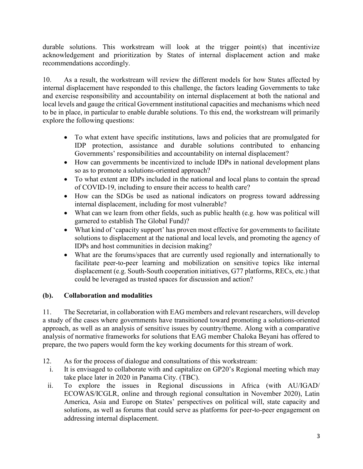durable solutions. This workstream will look at the trigger point(s) that incentivize acknowledgement and prioritization by States of internal displacement action and make recommendations accordingly.

10. As a result, the workstream will review the different models for how States affected by internal displacement have responded to this challenge, the factors leading Governments to take and exercise responsibility and accountability on internal displacement at both the national and local levels and gauge the critical Government institutional capacities and mechanisms which need to be in place, in particular to enable durable solutions. To this end, the workstream will primarily explore the following questions:

- To what extent have specific institutions, laws and policies that are promulgated for IDP protection, assistance and durable solutions contributed to enhancing Governments' responsibilities and accountability on internal displacement?
- How can governments be incentivized to include IDPs in national development plans so as to promote a solutions-oriented approach?
- To what extent are IDPs included in the national and local plans to contain the spread of COVID-19, including to ensure their access to health care?
- How can the SDGs be used as national indicators on progress toward addressing internal displacement, including for most vulnerable?
- What can we learn from other fields, such as public health (e.g. how was political will garnered to establish The Global Fund)?
- What kind of 'capacity support' has proven most effective for governments to facilitate solutions to displacement at the national and local levels, and promoting the agency of IDPs and host communities in decision making?
- What are the forums/spaces that are currently used regionally and internationally to facilitate peer-to-peer learning and mobilization on sensitive topics like internal displacement (e.g. South-South cooperation initiatives, G77 platforms, RECs, etc.) that could be leveraged as trusted spaces for discussion and action?

# (b). Collaboration and modalities

11. The Secretariat, in collaboration with EAG members and relevant researchers, will develop a study of the cases where governments have transitioned toward promoting a solutions-oriented approach, as well as an analysis of sensitive issues by country/theme. Along with a comparative analysis of normative frameworks for solutions that EAG member Chaloka Beyani has offered to prepare, the two papers would form the key working documents for this stream of work.

- 12. As for the process of dialogue and consultations of this workstream:
	- i. It is envisaged to collaborate with and capitalize on GP20's Regional meeting which may take place later in 2020 in Panama City. (TBC).
- ii. To explore the issues in Regional discussions in Africa (with AU/IGAD/ ECOWAS/ICGLR, online and through regional consultation in November 2020), Latin America, Asia and Europe on States' perspectives on political will, state capacity and solutions, as well as forums that could serve as platforms for peer-to-peer engagement on addressing internal displacement.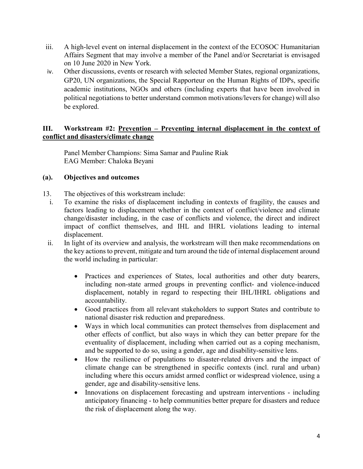- iii. A high-level event on internal displacement in the context of the ECOSOC Humanitarian Affairs Segment that may involve a member of the Panel and/or Secretariat is envisaged on 10 June 2020 in New York.
- iv. Other discussions, events or research with selected Member States, regional organizations, GP20, UN organizations, the Special Rapporteur on the Human Rights of IDPs, specific academic institutions, NGOs and others (including experts that have been involved in political negotiations to better understand common motivations/levers for change) will also be explored.

## III. Workstream #2: Prevention – Preventing internal displacement in the context of conflict and disasters/climate change

Panel Member Champions: Sima Samar and Pauline Riak EAG Member: Chaloka Beyani

## (a). Objectives and outcomes

- 13. The objectives of this workstream include:
- i. To examine the risks of displacement including in contexts of fragility, the causes and factors leading to displacement whether in the context of conflict/violence and climate change/disaster including, in the case of conflicts and violence, the direct and indirect impact of conflict themselves, and IHL and IHRL violations leading to internal displacement.
- ii. In light of its overview and analysis, the workstream will then make recommendations on the key actions to prevent, mitigate and turn around the tide of internal displacement around the world including in particular:
	- Practices and experiences of States, local authorities and other duty bearers, including non-state armed groups in preventing conflict- and violence-induced displacement, notably in regard to respecting their IHL/IHRL obligations and accountability.
	- Good practices from all relevant stakeholders to support States and contribute to national disaster risk reduction and preparedness.
	- Ways in which local communities can protect themselves from displacement and other effects of conflict, but also ways in which they can better prepare for the eventuality of displacement, including when carried out as a coping mechanism, and be supported to do so, using a gender, age and disability-sensitive lens.
	- How the resilience of populations to disaster-related drivers and the impact of climate change can be strengthened in specific contexts (incl. rural and urban) including where this occurs amidst armed conflict or widespread violence, using a gender, age and disability-sensitive lens.
	- Innovations on displacement forecasting and upstream interventions including anticipatory financing - to help communities better prepare for disasters and reduce the risk of displacement along the way.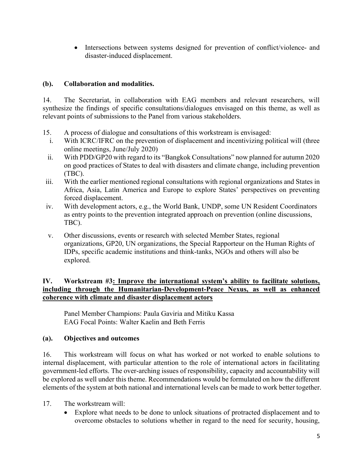• Intersections between systems designed for prevention of conflict/violence- and disaster-induced displacement.

## (b). Collaboration and modalities.

14. The Secretariat, in collaboration with EAG members and relevant researchers, will synthesize the findings of specific consultations/dialogues envisaged on this theme, as well as relevant points of submissions to the Panel from various stakeholders.

- 15. A process of dialogue and consultations of this workstream is envisaged:
- i. With ICRC/IFRC on the prevention of displacement and incentivizing political will (three online meetings, June/July 2020)
- ii. With PDD/GP20 with regard to its "Bangkok Consultations" now planned for autumn 2020 on good practices of States to deal with disasters and climate change, including prevention (TBC).
- iii. With the earlier mentioned regional consultations with regional organizations and States in Africa, Asia, Latin America and Europe to explore States' perspectives on preventing forced displacement.
- iv. With development actors, e.g., the World Bank, UNDP, some UN Resident Coordinators as entry points to the prevention integrated approach on prevention (online discussions, TBC).
- v. Other discussions, events or research with selected Member States, regional organizations, GP20, UN organizations, the Special Rapporteur on the Human Rights of IDPs, specific academic institutions and think-tanks, NGOs and others will also be explored.

## IV. Workstream #3: Improve the international system's ability to facilitate solutions, including through the Humanitarian-Development-Peace Nexus, as well as enhanced coherence with climate and disaster displacement actors

Panel Member Champions: Paula Gaviria and Mitiku Kassa EAG Focal Points: Walter Kaelin and Beth Ferris

# (a). Objectives and outcomes

16. This workstream will focus on what has worked or not worked to enable solutions to internal displacement, with particular attention to the role of international actors in facilitating government-led efforts. The over-arching issues of responsibility, capacity and accountability will be explored as well under this theme. Recommendations would be formulated on how the different elements of the system at both national and international levels can be made to work better together.

- 17. The workstream will:
	- Explore what needs to be done to unlock situations of protracted displacement and to overcome obstacles to solutions whether in regard to the need for security, housing,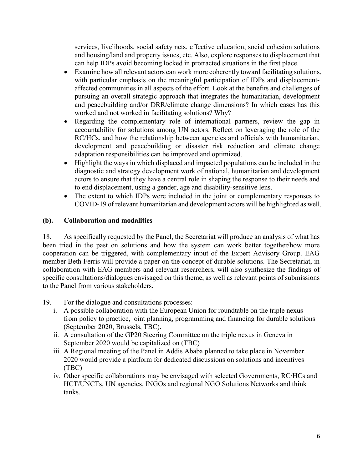services, livelihoods, social safety nets, effective education, social cohesion solutions and housing/land and property issues, etc. Also, explore responses to displacement that can help IDPs avoid becoming locked in protracted situations in the first place.

- Examine how all relevant actors can work more coherently toward facilitating solutions, with particular emphasis on the meaningful participation of IDPs and displacementaffected communities in all aspects of the effort. Look at the benefits and challenges of pursuing an overall strategic approach that integrates the humanitarian, development and peacebuilding and/or DRR/climate change dimensions? In which cases has this worked and not worked in facilitating solutions? Why?
- Regarding the complementary role of international partners, review the gap in accountability for solutions among UN actors. Reflect on leveraging the role of the RC/HCs, and how the relationship between agencies and officials with humanitarian, development and peacebuilding or disaster risk reduction and climate change adaptation responsibilities can be improved and optimized.
- Highlight the ways in which displaced and impacted populations can be included in the diagnostic and strategy development work of national, humanitarian and development actors to ensure that they have a central role in shaping the response to their needs and to end displacement, using a gender, age and disability-sensitive lens.
- The extent to which IDPs were included in the joint or complementary responses to COVID-19 of relevant humanitarian and development actors will be highlighted as well.

# (b). Collaboration and modalities

18. As specifically requested by the Panel, the Secretariat will produce an analysis of what has been tried in the past on solutions and how the system can work better together/how more cooperation can be triggered, with complementary input of the Expert Advisory Group. EAG member Beth Ferris will provide a paper on the concept of durable solutions. The Secretariat, in collaboration with EAG members and relevant researchers, will also synthesize the findings of specific consultations/dialogues envisaged on this theme, as well as relevant points of submissions to the Panel from various stakeholders.

19. For the dialogue and consultations processes:

- i. A possible collaboration with the European Union for roundtable on the triple nexus from policy to practice, joint planning, programming and financing for durable solutions (September 2020, Brussels, TBC).
- ii. A consultation of the GP20 Steering Committee on the triple nexus in Geneva in September 2020 would be capitalized on (TBC)
- iii. A Regional meeting of the Panel in Addis Ababa planned to take place in November 2020 would provide a platform for dedicated discussions on solutions and incentives (TBC)
- iv. Other specific collaborations may be envisaged with selected Governments, RC/HCs and HCT/UNCTs, UN agencies, INGOs and regional NGO Solutions Networks and think tanks.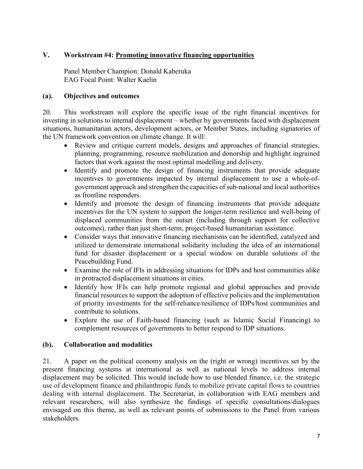## V. Workstream #4: Promoting innovative financing opportunities

Panel Member Champion: Donald Kaberuka EAG Focal Point: Walter Kaelin

#### (a). Objectives and outcomes

20. This workstream will explore the specific issue of the right financial incentives for investing in solutions to internal displacement – whether by governments faced with displacement situations, humanitarian actors, development actors, or Member States, including signatories of the UN framework convention on climate change. It will:

- Review and critique current models, designs and approaches of financial strategies, planning, programming, resource mobilization and donorship and highlight ingrained factors that work against the most optimal modelling and delivery.
- Identify and promote the design of financing instruments that provide adequate incentives to governments impacted by internal displacement to use a whole-ofgovernment approach and strengthen the capacities of sub-national and local authorities as frontline responders.
- Identify and promote the design of financing instruments that provide adequate incentives for the UN system to support the longer-term resilience and well-being of displaced communities from the outset (including through support for collective outcomes), rather than just short-term, project-based humanitarian assistance.
- Consider ways that innovative financing mechanisms can be identified, catalyzed and utilized to demonstrate international solidarity including the idea of an international fund for disaster displacement or a special window on durable solutions of the Peacebuilding Fund.
- Examine the role of IFIs in addressing situations for IDPs and host communities alike in protracted displacement situations in cities.
- Identify how IFIs can help promote regional and global approaches and provide financial resources to support the adoption of effective policies and the implementation of priority investments for the self-reliance/resilience of IDPs/host communities and contribute to solutions.
- Explore the use of Faith-based financing (such as Islamic Social Financing) to complement resources of governments to better respond to IDP situations.

## (b). Collaboration and modalities

21. A paper on the political economy analysis on the (right or wrong) incentives set by the present financing systems at international as well as national levels to address internal displacement may be solicited. This would include how to use blended finance, i.e. the strategic use of development finance and philanthropic funds to mobilize private capital flows to countries dealing with internal displacement. The Secretariat, in collaboration with EAG members and relevant researchers, will also synthesize the findings of specific consultations/dialogues envisaged on this theme, as well as relevant points of submissions to the Panel from various stakeholders.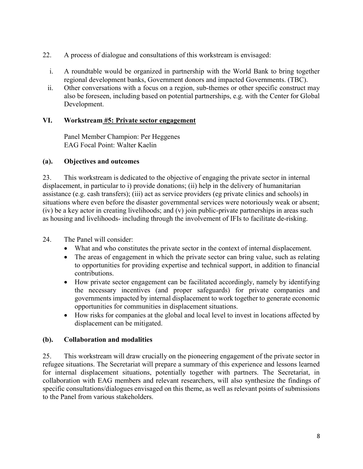- 22. A process of dialogue and consultations of this workstream is envisaged:
	- i. A roundtable would be organized in partnership with the World Bank to bring together regional development banks, Government donors and impacted Governments. (TBC).
	- ii. Other conversations with a focus on a region, sub-themes or other specific construct may also be foreseen, including based on potential partnerships, e.g. with the Center for Global Development.

## VI. Workstream #5: Private sector engagement

Panel Member Champion: Per Heggenes EAG Focal Point: Walter Kaelin

## (a). Objectives and outcomes

23. This workstream is dedicated to the objective of engaging the private sector in internal displacement, in particular to i) provide donations; (ii) help in the delivery of humanitarian assistance (e.g. cash transfers); (iii) act as service providers (eg private clinics and schools) in situations where even before the disaster governmental services were notoriously weak or absent; (iv) be a key actor in creating livelihoods; and (v) join public-private partnerships in areas such as housing and livelihoods- including through the involvement of IFIs to facilitate de-risking.

# 24. The Panel will consider:

- What and who constitutes the private sector in the context of internal displacement.
- The areas of engagement in which the private sector can bring value, such as relating to opportunities for providing expertise and technical support, in addition to financial contributions.
- How private sector engagement can be facilitated accordingly, namely by identifying the necessary incentives (and proper safeguards) for private companies and governments impacted by internal displacement to work together to generate economic opportunities for communities in displacement situations.
- How risks for companies at the global and local level to invest in locations affected by displacement can be mitigated.

# (b). Collaboration and modalities

25. This workstream will draw crucially on the pioneering engagement of the private sector in refugee situations. The Secretariat will prepare a summary of this experience and lessons learned for internal displacement situations, potentially together with partners. The Secretariat, in collaboration with EAG members and relevant researchers, will also synthesize the findings of specific consultations/dialogues envisaged on this theme, as well as relevant points of submissions to the Panel from various stakeholders.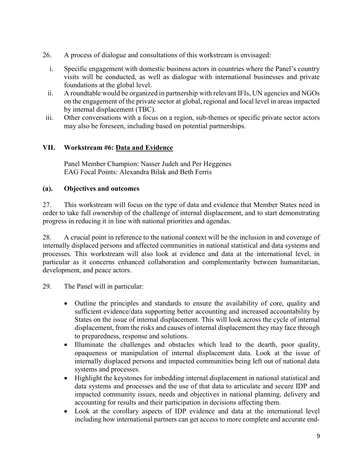- 26. A process of dialogue and consultations of this workstream is envisaged:
	- i. Specific engagement with domestic business actors in countries where the Panel's country visits will be conducted, as well as dialogue with international businesses and private foundations at the global level.
	- ii. A roundtable would be organized in partnership with relevant IFIs, UN agencies and NGOs on the engagement of the private sector at global, regional and local level in areas impacted by internal displacement (TBC).
- iii. Other conversations with a focus on a region, sub-themes or specific private sector actors may also be foreseen, including based on potential partnerships.

## VII. Workstream #6: Data and Evidence

Panel Member Champion: Nasser Judeh and Per Heggenes EAG Focal Points: Alexandra Bilak and Beth Ferris

## (a). Objectives and outcomes

27. This workstream will focus on the type of data and evidence that Member States need in order to take full ownership of the challenge of internal displacement, and to start demonstrating progress in reducing it in line with national priorities and agendas.

28. A crucial point in reference to the national context will be the inclusion in and coverage of internally displaced persons and affected communities in national statistical and data systems and processes. This workstream will also look at evidence and data at the international level, in particular as it concerns enhanced collaboration and complementarity between humanitarian, development, and peace actors.

29. The Panel will in particular:

- Outline the principles and standards to ensure the availability of core, quality and sufficient evidence/data supporting better accounting and increased accountability by States on the issue of internal displacement. This will look across the cycle of internal displacement, from the risks and causes of internal displacement they may face through to preparedness, response and solutions.
- Illuminate the challenges and obstacles which lead to the dearth, poor quality, opaqueness or manipulation of internal displacement data. Look at the issue of internally displaced persons and impacted communities being left out of national data systems and processes.
- Highlight the keystones for imbedding internal displacement in national statistical and data systems and processes and the use of that data to articulate and secure IDP and impacted community issues, needs and objectives in national planning, delivery and accounting for results and their participation in decisions affecting them.
- Look at the corollary aspects of IDP evidence and data at the international level including how international partners can get access to more complete and accurate end-